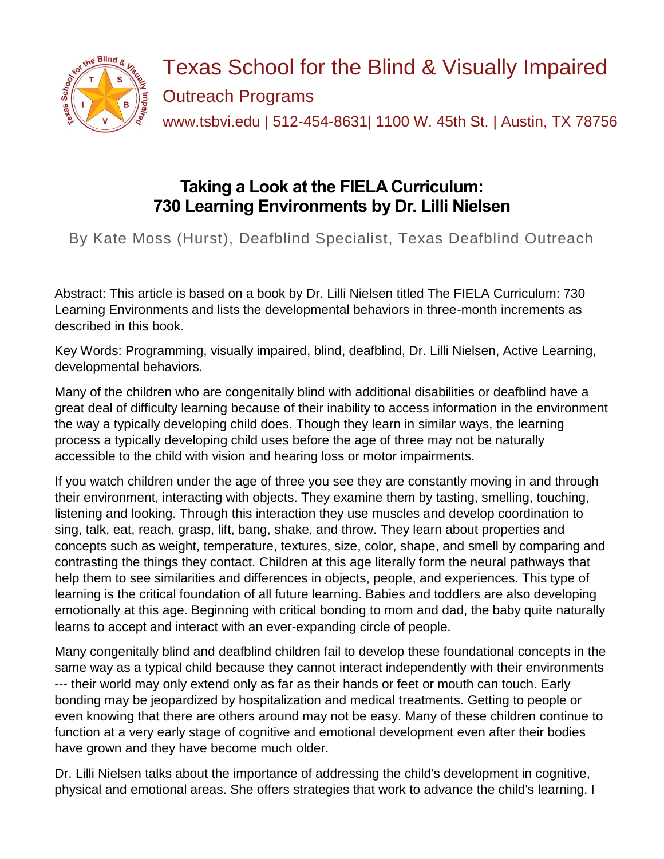

Texas School for the Blind & Visually Impaired Outreach Programs www.tsbvi.edu | 512-454-8631| 1100 W. 45th St. | Austin, TX 78756

# **Taking a Look at the FIELA Curriculum: 730 Learning Environments by Dr. Lilli Nielsen**

By Kate Moss (Hurst), Deafblind Specialist, Texas Deafblind Outreach

Abstract: This article is based on a book by Dr. Lilli Nielsen titled The FIELA Curriculum: 730 Learning Environments and lists the developmental behaviors in three-month increments as described in this book.

Key Words: Programming, visually impaired, blind, deafblind, Dr. Lilli Nielsen, Active Learning, developmental behaviors.

Many of the children who are congenitally blind with additional disabilities or deafblind have a great deal of difficulty learning because of their inability to access information in the environment the way a typically developing child does. Though they learn in similar ways, the learning process a typically developing child uses before the age of three may not be naturally accessible to the child with vision and hearing loss or motor impairments.

If you watch children under the age of three you see they are constantly moving in and through their environment, interacting with objects. They examine them by tasting, smelling, touching, listening and looking. Through this interaction they use muscles and develop coordination to sing, talk, eat, reach, grasp, lift, bang, shake, and throw. They learn about properties and concepts such as weight, temperature, textures, size, color, shape, and smell by comparing and contrasting the things they contact. Children at this age literally form the neural pathways that help them to see similarities and differences in objects, people, and experiences. This type of learning is the critical foundation of all future learning. Babies and toddlers are also developing emotionally at this age. Beginning with critical bonding to mom and dad, the baby quite naturally learns to accept and interact with an ever-expanding circle of people.

Many congenitally blind and deafblind children fail to develop these foundational concepts in the same way as a typical child because they cannot interact independently with their environments --- their world may only extend only as far as their hands or feet or mouth can touch. Early bonding may be jeopardized by hospitalization and medical treatments. Getting to people or even knowing that there are others around may not be easy. Many of these children continue to function at a very early stage of cognitive and emotional development even after their bodies have grown and they have become much older.

Dr. Lilli Nielsen talks about the importance of addressing the child's development in cognitive, physical and emotional areas. She offers strategies that work to advance the child's learning. I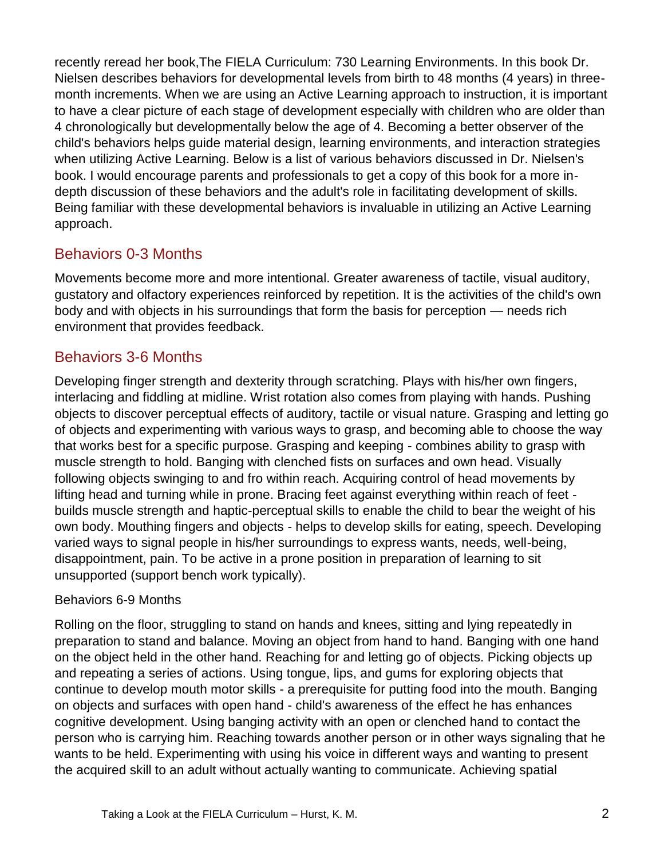recently reread her book,The FIELA Curriculum: 730 Learning Environments. In this book Dr. Nielsen describes behaviors for developmental levels from birth to 48 months (4 years) in threemonth increments. When we are using an Active Learning approach to instruction, it is important to have a clear picture of each stage of development especially with children who are older than 4 chronologically but developmentally below the age of 4. Becoming a better observer of the child's behaviors helps guide material design, learning environments, and interaction strategies when utilizing Active Learning. Below is a list of various behaviors discussed in Dr. Nielsen's book. I would encourage parents and professionals to get a copy of this book for a more indepth discussion of these behaviors and the adult's role in facilitating development of skills. Being familiar with these developmental behaviors is invaluable in utilizing an Active Learning approach.

# Behaviors 0-3 Months

Movements become more and more intentional. Greater awareness of tactile, visual auditory, gustatory and olfactory experiences reinforced by repetition. It is the activities of the child's own body and with objects in his surroundings that form the basis for perception — needs rich environment that provides feedback.

#### Behaviors 3-6 Months

Developing finger strength and dexterity through scratching. Plays with his/her own fingers, interlacing and fiddling at midline. Wrist rotation also comes from playing with hands. Pushing objects to discover perceptual effects of auditory, tactile or visual nature. Grasping and letting go of objects and experimenting with various ways to grasp, and becoming able to choose the way that works best for a specific purpose. Grasping and keeping - combines ability to grasp with muscle strength to hold. Banging with clenched fists on surfaces and own head. Visually following objects swinging to and fro within reach. Acquiring control of head movements by lifting head and turning while in prone. Bracing feet against everything within reach of feet builds muscle strength and haptic-perceptual skills to enable the child to bear the weight of his own body. Mouthing fingers and objects - helps to develop skills for eating, speech. Developing varied ways to signal people in his/her surroundings to express wants, needs, well-being, disappointment, pain. To be active in a prone position in preparation of learning to sit unsupported (support bench work typically).

#### Behaviors 6-9 Months

Rolling on the floor, struggling to stand on hands and knees, sitting and lying repeatedly in preparation to stand and balance. Moving an object from hand to hand. Banging with one hand on the object held in the other hand. Reaching for and letting go of objects. Picking objects up and repeating a series of actions. Using tongue, lips, and gums for exploring objects that continue to develop mouth motor skills - a prerequisite for putting food into the mouth. Banging on objects and surfaces with open hand - child's awareness of the effect he has enhances cognitive development. Using banging activity with an open or clenched hand to contact the person who is carrying him. Reaching towards another person or in other ways signaling that he wants to be held. Experimenting with using his voice in different ways and wanting to present the acquired skill to an adult without actually wanting to communicate. Achieving spatial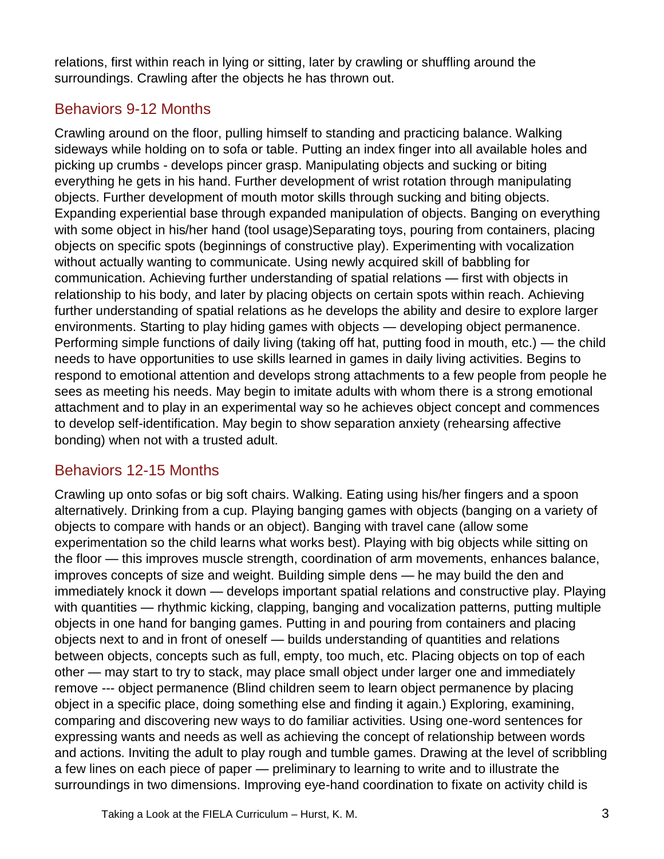relations, first within reach in lying or sitting, later by crawling or shuffling around the surroundings. Crawling after the objects he has thrown out.

#### Behaviors 9-12 Months

Crawling around on the floor, pulling himself to standing and practicing balance. Walking sideways while holding on to sofa or table. Putting an index finger into all available holes and picking up crumbs - develops pincer grasp. Manipulating objects and sucking or biting everything he gets in his hand. Further development of wrist rotation through manipulating objects. Further development of mouth motor skills through sucking and biting objects. Expanding experiential base through expanded manipulation of objects. Banging on everything with some object in his/her hand (tool usage)Separating toys, pouring from containers, placing objects on specific spots (beginnings of constructive play). Experimenting with vocalization without actually wanting to communicate. Using newly acquired skill of babbling for communication. Achieving further understanding of spatial relations — first with objects in relationship to his body, and later by placing objects on certain spots within reach. Achieving further understanding of spatial relations as he develops the ability and desire to explore larger environments. Starting to play hiding games with objects — developing object permanence. Performing simple functions of daily living (taking off hat, putting food in mouth, etc.) — the child needs to have opportunities to use skills learned in games in daily living activities. Begins to respond to emotional attention and develops strong attachments to a few people from people he sees as meeting his needs. May begin to imitate adults with whom there is a strong emotional attachment and to play in an experimental way so he achieves object concept and commences to develop self-identification. May begin to show separation anxiety (rehearsing affective bonding) when not with a trusted adult.

# Behaviors 12-15 Months

Crawling up onto sofas or big soft chairs. Walking. Eating using his/her fingers and a spoon alternatively. Drinking from a cup. Playing banging games with objects (banging on a variety of objects to compare with hands or an object). Banging with travel cane (allow some experimentation so the child learns what works best). Playing with big objects while sitting on the floor — this improves muscle strength, coordination of arm movements, enhances balance, improves concepts of size and weight. Building simple dens — he may build the den and immediately knock it down — develops important spatial relations and constructive play. Playing with quantities — rhythmic kicking, clapping, banging and vocalization patterns, putting multiple objects in one hand for banging games. Putting in and pouring from containers and placing objects next to and in front of oneself — builds understanding of quantities and relations between objects, concepts such as full, empty, too much, etc. Placing objects on top of each other — may start to try to stack, may place small object under larger one and immediately remove --- object permanence (Blind children seem to learn object permanence by placing object in a specific place, doing something else and finding it again.) Exploring, examining, comparing and discovering new ways to do familiar activities. Using one-word sentences for expressing wants and needs as well as achieving the concept of relationship between words and actions. Inviting the adult to play rough and tumble games. Drawing at the level of scribbling a few lines on each piece of paper — preliminary to learning to write and to illustrate the surroundings in two dimensions. Improving eye-hand coordination to fixate on activity child is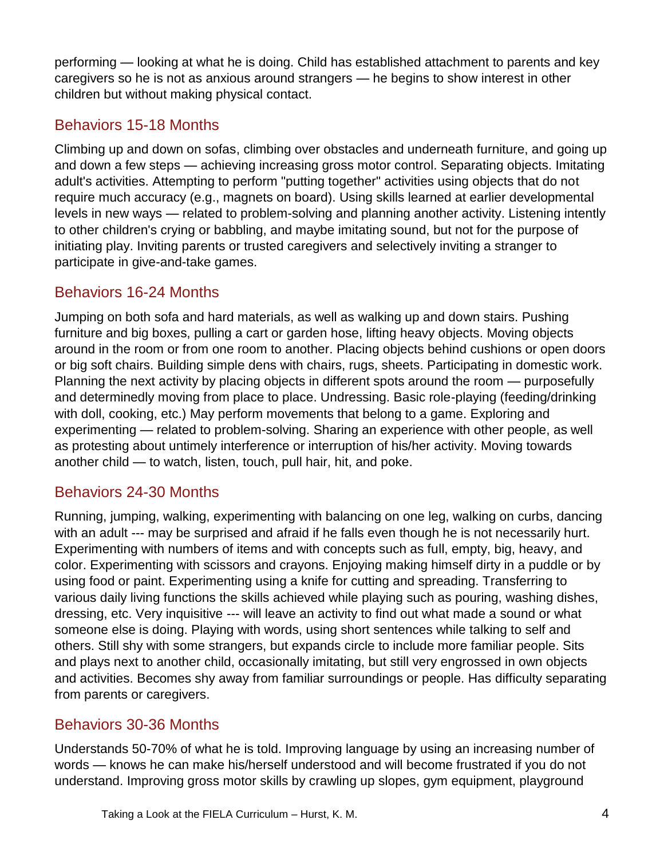performing — looking at what he is doing. Child has established attachment to parents and key caregivers so he is not as anxious around strangers — he begins to show interest in other children but without making physical contact.

### Behaviors 15-18 Months

Climbing up and down on sofas, climbing over obstacles and underneath furniture, and going up and down a few steps — achieving increasing gross motor control. Separating objects. Imitating adult's activities. Attempting to perform "putting together" activities using objects that do not require much accuracy (e.g., magnets on board). Using skills learned at earlier developmental levels in new ways — related to problem-solving and planning another activity. Listening intently to other children's crying or babbling, and maybe imitating sound, but not for the purpose of initiating play. Inviting parents or trusted caregivers and selectively inviting a stranger to participate in give-and-take games.

#### Behaviors 16-24 Months

Jumping on both sofa and hard materials, as well as walking up and down stairs. Pushing furniture and big boxes, pulling a cart or garden hose, lifting heavy objects. Moving objects around in the room or from one room to another. Placing objects behind cushions or open doors or big soft chairs. Building simple dens with chairs, rugs, sheets. Participating in domestic work. Planning the next activity by placing objects in different spots around the room — purposefully and determinedly moving from place to place. Undressing. Basic role-playing (feeding/drinking with doll, cooking, etc.) May perform movements that belong to a game. Exploring and experimenting — related to problem-solving. Sharing an experience with other people, as well as protesting about untimely interference or interruption of his/her activity. Moving towards another child — to watch, listen, touch, pull hair, hit, and poke.

#### Behaviors 24-30 Months

Running, jumping, walking, experimenting with balancing on one leg, walking on curbs, dancing with an adult --- may be surprised and afraid if he falls even though he is not necessarily hurt. Experimenting with numbers of items and with concepts such as full, empty, big, heavy, and color. Experimenting with scissors and crayons. Enjoying making himself dirty in a puddle or by using food or paint. Experimenting using a knife for cutting and spreading. Transferring to various daily living functions the skills achieved while playing such as pouring, washing dishes, dressing, etc. Very inquisitive --- will leave an activity to find out what made a sound or what someone else is doing. Playing with words, using short sentences while talking to self and others. Still shy with some strangers, but expands circle to include more familiar people. Sits and plays next to another child, occasionally imitating, but still very engrossed in own objects and activities. Becomes shy away from familiar surroundings or people. Has difficulty separating from parents or caregivers.

#### Behaviors 30-36 Months

Understands 50-70% of what he is told. Improving language by using an increasing number of words — knows he can make his/herself understood and will become frustrated if you do not understand. Improving gross motor skills by crawling up slopes, gym equipment, playground